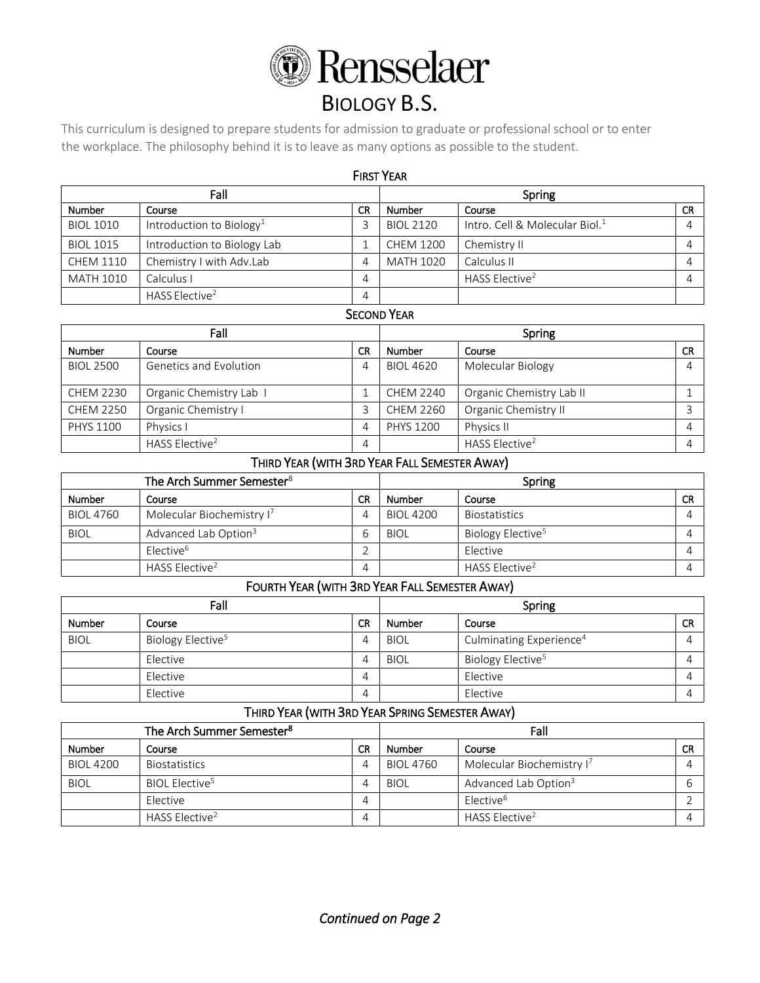

# BIOLOGY B.S.

This curriculum is designed to prepare students for admission to graduate or professional school or to enter the workplace. The philosophy behind it is to leave as many options as possible to the student.

| <b>FIRST YEAR</b> |                                      |                                      |                  |                                            |           |  |
|-------------------|--------------------------------------|--------------------------------------|------------------|--------------------------------------------|-----------|--|
| Fall              |                                      |                                      | Spring           |                                            |           |  |
| <b>Number</b>     | Course                               | <b>CR</b><br><b>Number</b><br>Course |                  |                                            | <b>CR</b> |  |
| <b>BIOL 1010</b>  | Introduction to Biology <sup>1</sup> |                                      | <b>BIOL 2120</b> | Intro. Cell & Molecular Biol. <sup>1</sup> | Δ         |  |
| <b>BIOL 1015</b>  | Introduction to Biology Lab          |                                      | <b>CHEM 1200</b> | Chemistry II                               | Δ         |  |
| <b>CHEM 1110</b>  | Chemistry I with Adv.Lab             | 4                                    | <b>MATH 1020</b> | Calculus II                                |           |  |
| <b>MATH 1010</b>  | Calculus I                           | 4                                    |                  | HASS Elective <sup>2</sup>                 | Δ         |  |
|                   | HASS Elective <sup>2</sup>           | 4                                    |                  |                                            |           |  |

# **SECOND YEAR**

| Fall             |                            |           | Spring           |                            |           |
|------------------|----------------------------|-----------|------------------|----------------------------|-----------|
| <b>Number</b>    | Course                     | <b>CR</b> | <b>Number</b>    | Course                     | <b>CR</b> |
| <b>BIOL 2500</b> | Genetics and Evolution     | 4         | <b>BIOL 4620</b> | Molecular Biology          |           |
| <b>CHEM 2230</b> | Organic Chemistry Lab I    |           | <b>CHEM 2240</b> | Organic Chemistry Lab II   |           |
| <b>CHEM 2250</b> | Organic Chemistry I        |           | CHEM 2260        | Organic Chemistry II       |           |
| <b>PHYS 1100</b> | Physics I                  |           | <b>PHYS 1200</b> | Physics II                 |           |
|                  | HASS Elective <sup>2</sup> | 4         |                  | HASS Elective <sup>2</sup> |           |

# THIRD YEAR (WITH 3RD YEAR FALL SEMESTER AWAY)

| The Arch Summer Semester <sup>8</sup> |                                  |    | Spring           |                               |           |
|---------------------------------------|----------------------------------|----|------------------|-------------------------------|-----------|
| Number                                | Course                           | CR | Number           | Course                        | <b>CR</b> |
| <b>BIOL 4760</b>                      | Molecular Biochemistry I'        |    | <b>BIOL 4200</b> | <b>Biostatistics</b>          |           |
| <b>BIOL</b>                           | Advanced Lab Option <sup>3</sup> |    | <b>BIOL</b>      | Biology Elective <sup>5</sup> |           |
|                                       | $E$ lective <sup>6</sup>         |    |                  | Elective                      |           |
|                                       | HASS Elective <sup>2</sup>       |    |                  | HASS Elective <sup>2</sup>    |           |

# FOURTH YEAR (WITH 3RD YEAR FALL SEMESTER AWAY)

| Fall          |                               |    | Spring      |                                     |           |
|---------------|-------------------------------|----|-------------|-------------------------------------|-----------|
| <b>Number</b> | Course                        | СR | Number      | Course                              | <b>CR</b> |
| <b>BIOL</b>   | Biology Elective <sup>5</sup> |    | <b>BIOL</b> | Culminating Experience <sup>4</sup> |           |
|               | Elective                      |    | <b>BIOL</b> | Biology Elective <sup>5</sup>       |           |
|               | Elective                      | 4  |             | Elective                            |           |
|               | Elective                      | 4  |             | Elective                            |           |

# THIRD YEAR (WITH 3RD YEAR SPRING SEMESTER AWAY)

| The Arch Summer Semester <sup>8</sup> |                            |    | Fall             |                                       |           |
|---------------------------------------|----------------------------|----|------------------|---------------------------------------|-----------|
| Number                                | Course                     | CR | Number           | Course                                | <b>CR</b> |
| <b>BIOL 4200</b>                      | <b>Biostatistics</b>       |    | <b>BIOL 4760</b> | Molecular Biochemistry I <sup>7</sup> |           |
| <b>BIOL</b>                           | BIOL Elective <sup>5</sup> |    | <b>BIOL</b>      | Advanced Lab Option <sup>3</sup>      |           |
|                                       | Elective                   |    |                  | Flective <sup>6</sup>                 |           |
|                                       | HASS Elective <sup>2</sup> |    |                  | HASS Elective <sup>2</sup>            |           |